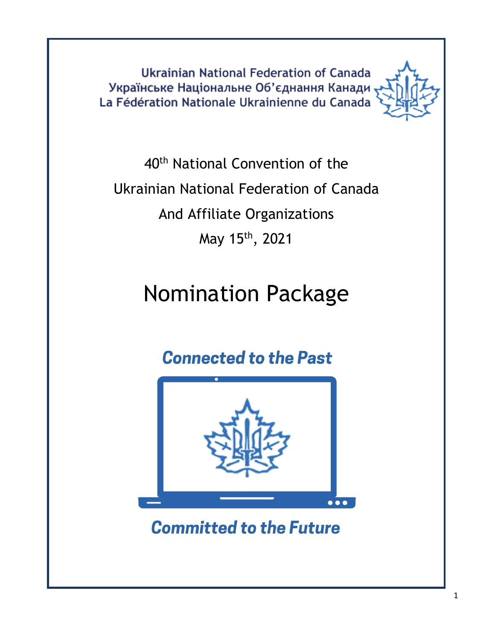**Ukrainian National Federation of Canada** Українське Національне Об'єднання Канади La Fédération Nationale Ukrainienne du Canada



40th National Convention of the Ukrainian National Federation of Canada And Affiliate Organizations May 15th, 2021

# Nomination Package

# **Connected to the Past**



**Committed to the Future**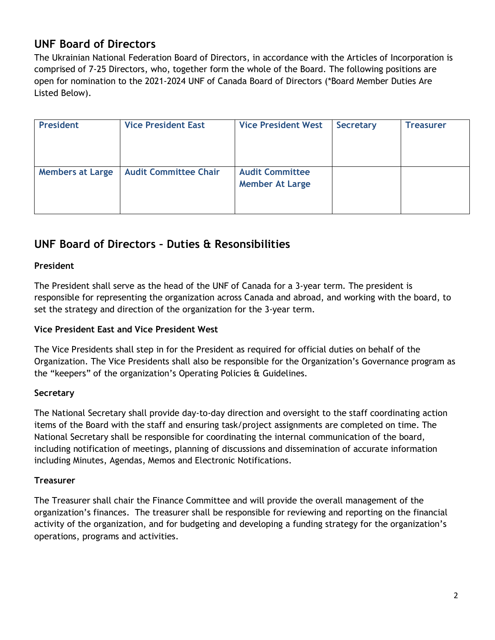# **UNF Board of Directors**

The Ukrainian National Federation Board of Directors, in accordance with the Articles of Incorporation is comprised of 7-25 Directors, who, together form the whole of the Board. The following positions are open for nomination to the 2021-2024 UNF of Canada Board of Directors (\*Board Member Duties Are Listed Below).

| <b>President</b>        | <b>Vice President East</b>   | <b>Vice President West</b>                       | <b>Secretary</b> | <b>Treasurer</b> |
|-------------------------|------------------------------|--------------------------------------------------|------------------|------------------|
| <b>Members at Large</b> | <b>Audit Committee Chair</b> | <b>Audit Committee</b><br><b>Member At Large</b> |                  |                  |

# **UNF Board of Directors – Duties & Resonsibilities**

#### **President**

The President shall serve as the head of the UNF of Canada for a 3-year term. The president is responsible for representing the organization across Canada and abroad, and working with the board, to set the strategy and direction of the organization for the 3-year term.

#### **Vice President East and Vice President West**

The Vice Presidents shall step in for the President as required for official duties on behalf of the Organization. The Vice Presidents shall also be responsible for the Organization's Governance program as the "keepers" of the organization's Operating Policies & Guidelines.

#### **Secretary**

The National Secretary shall provide day-to-day direction and oversight to the staff coordinating action items of the Board with the staff and ensuring task/project assignments are completed on time. The National Secretary shall be responsible for coordinating the internal communication of the board, including notification of meetings, planning of discussions and dissemination of accurate information including Minutes, Agendas, Memos and Electronic Notifications.

#### **Treasurer**

The Treasurer shall chair the Finance Committee and will provide the overall management of the organization's finances. The treasurer shall be responsible for reviewing and reporting on the financial activity of the organization, and for budgeting and developing a funding strategy for the organization's operations, programs and activities.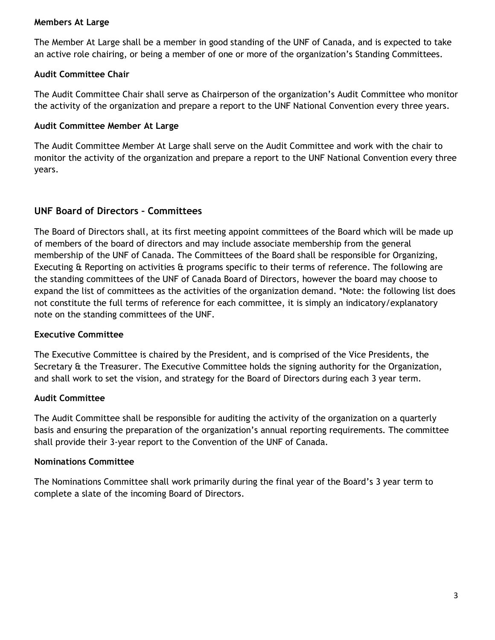#### **Members At Large**

The Member At Large shall be a member in good standing of the UNF of Canada, and is expected to take an active role chairing, or being a member of one or more of the organization's Standing Committees.

#### **Audit Committee Chair**

The Audit Committee Chair shall serve as Chairperson of the organization's Audit Committee who monitor the activity of the organization and prepare a report to the UNF National Convention every three years.

#### **Audit Committee Member At Large**

The Audit Committee Member At Large shall serve on the Audit Committee and work with the chair to monitor the activity of the organization and prepare a report to the UNF National Convention every three years.

#### **UNF Board of Directors – Committees**

The Board of Directors shall, at its first meeting appoint committees of the Board which will be made up of members of the board of directors and may include associate membership from the general membership of the UNF of Canada. The Committees of the Board shall be responsible for Organizing, Executing & Reporting on activities & programs specific to their terms of reference. The following are the standing committees of the UNF of Canada Board of Directors, however the board may choose to expand the list of committees as the activities of the organization demand. \*Note: the following list does not constitute the full terms of reference for each committee, it is simply an indicatory/explanatory note on the standing committees of the UNF.

#### **Executive Committee**

The Executive Committee is chaired by the President, and is comprised of the Vice Presidents, the Secretary & the Treasurer. The Executive Committee holds the signing authority for the Organization, and shall work to set the vision, and strategy for the Board of Directors during each 3 year term.

#### **Audit Committee**

The Audit Committee shall be responsible for auditing the activity of the organization on a quarterly basis and ensuring the preparation of the organization's annual reporting requirements. The committee shall provide their 3-year report to the Convention of the UNF of Canada.

#### **Nominations Committee**

The Nominations Committee shall work primarily during the final year of the Board's 3 year term to complete a slate of the incoming Board of Directors.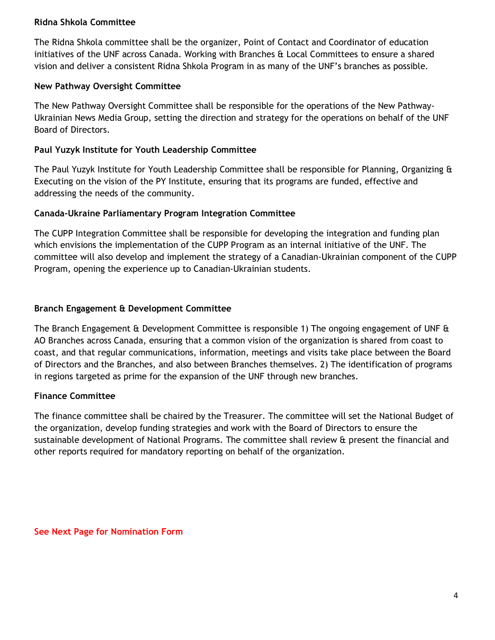#### **Ridna Shkola Committee**

The Ridna Shkola committee shall be the organizer, Point of Contact and Coordinator of education initiatives of the UNF across Canada. Working with Branches & Local Committees to ensure a shared vision and deliver a consistent Ridna Shkola Program in as many of the UNF's branches as possible.

#### **New Pathway Oversight Committee**

The New Pathway Oversight Committee shall be responsible for the operations of the New Pathway-Ukrainian News Media Group, setting the direction and strategy for the operations on behalf of the UNF Board of Directors.

#### **Paul Yuzyk Institute for Youth Leadership Committee**

The Paul Yuzyk Institute for Youth Leadership Committee shall be responsible for Planning, Organizing & Executing on the vision of the PY Institute, ensuring that its programs are funded, effective and addressing the needs of the community.

#### **Canada-Ukraine Parliamentary Program Integration Committee**

The CUPP Integration Committee shall be responsible for developing the integration and funding plan which envisions the implementation of the CUPP Program as an internal initiative of the UNF. The committee will also develop and implement the strategy of a Canadian-Ukrainian component of the CUPP Program, opening the experience up to Canadian-Ukrainian students.

#### **Branch Engagement & Development Committee**

The Branch Engagement & Development Committee is responsible 1) The ongoing engagement of UNF & AO Branches across Canada, ensuring that a common vision of the organization is shared from coast to coast, and that regular communications, information, meetings and visits take place between the Board of Directors and the Branches, and also between Branches themselves. 2) The identification of programs in regions targeted as prime for the expansion of the UNF through new branches.

#### **Finance Committee**

The finance committee shall be chaired by the Treasurer. The committee will set the National Budget of the organization, develop funding strategies and work with the Board of Directors to ensure the sustainable development of National Programs. The committee shall review & present the financial and other reports required for mandatory reporting on behalf of the organization.

**See Next Page for Nomination Form**